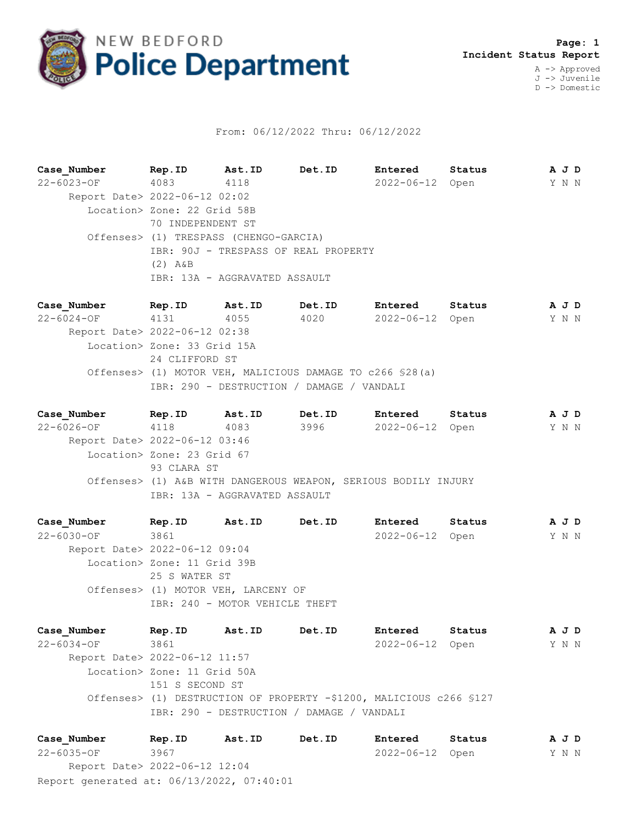

## From: 06/12/2022 Thru: 06/12/2022

**Case\_Number Rep.ID Ast.ID Det.ID Entered Status A J D** 22-6023-OF 4083 4118 2022-06-12 Open Y N N Report Date> 2022-06-12 02:02 Location> Zone: 22 Grid 58B 70 INDEPENDENT ST Offenses> (1) TRESPASS (CHENGO-GARCIA) IBR: 90J - TRESPASS OF REAL PROPERTY (2) A&B IBR: 13A - AGGRAVATED ASSAULT

**Case\_Number Rep.ID Ast.ID Det.ID Entered Status A J D** 22-6024-OF 4131 4055 4020 2022-06-12 Open Y N N Report Date> 2022-06-12 02:38 Location> Zone: 33 Grid 15A 24 CLIFFORD ST Offenses> (1) MOTOR VEH, MALICIOUS DAMAGE TO c266 §28(a) IBR: 290 - DESTRUCTION / DAMAGE / VANDALI

**Case\_Number Rep.ID Ast.ID Det.ID Entered Status A J D** 22-6026-OF 4118 4083 3996 2022-06-12 Open Y N N Report Date> 2022-06-12 03:46 Location> Zone: 23 Grid 67 93 CLARA ST Offenses> (1) A&B WITH DANGEROUS WEAPON, SERIOUS BODILY INJURY IBR: 13A - AGGRAVATED ASSAULT

**Case\_Number Rep.ID Ast.ID Det.ID Entered Status A J D** 22-6030-OF 3861 2022-06-12 Open Y N N Report Date> 2022-06-12 09:04 Location> Zone: 11 Grid 39B 25 S WATER ST Offenses> (1) MOTOR VEH, LARCENY OF IBR: 240 - MOTOR VEHICLE THEFT

**Case\_Number Rep.ID Ast.ID Det.ID Entered Status A J D** 22-6034-OF 3861 2022-06-12 Open Y N N Report Date> 2022-06-12 11:57 Location> Zone: 11 Grid 50A 151 S SECOND ST Offenses> (1) DESTRUCTION OF PROPERTY -\$1200, MALICIOUS c266 §127 IBR: 290 - DESTRUCTION / DAMAGE / VANDALI

Report generated at: 06/13/2022, 07:40:01 **Case\_Number Rep.ID Ast.ID Det.ID Entered Status A J D** 22-6035-OF 3967 2022-06-12 Open Y N N Report Date> 2022-06-12 12:04